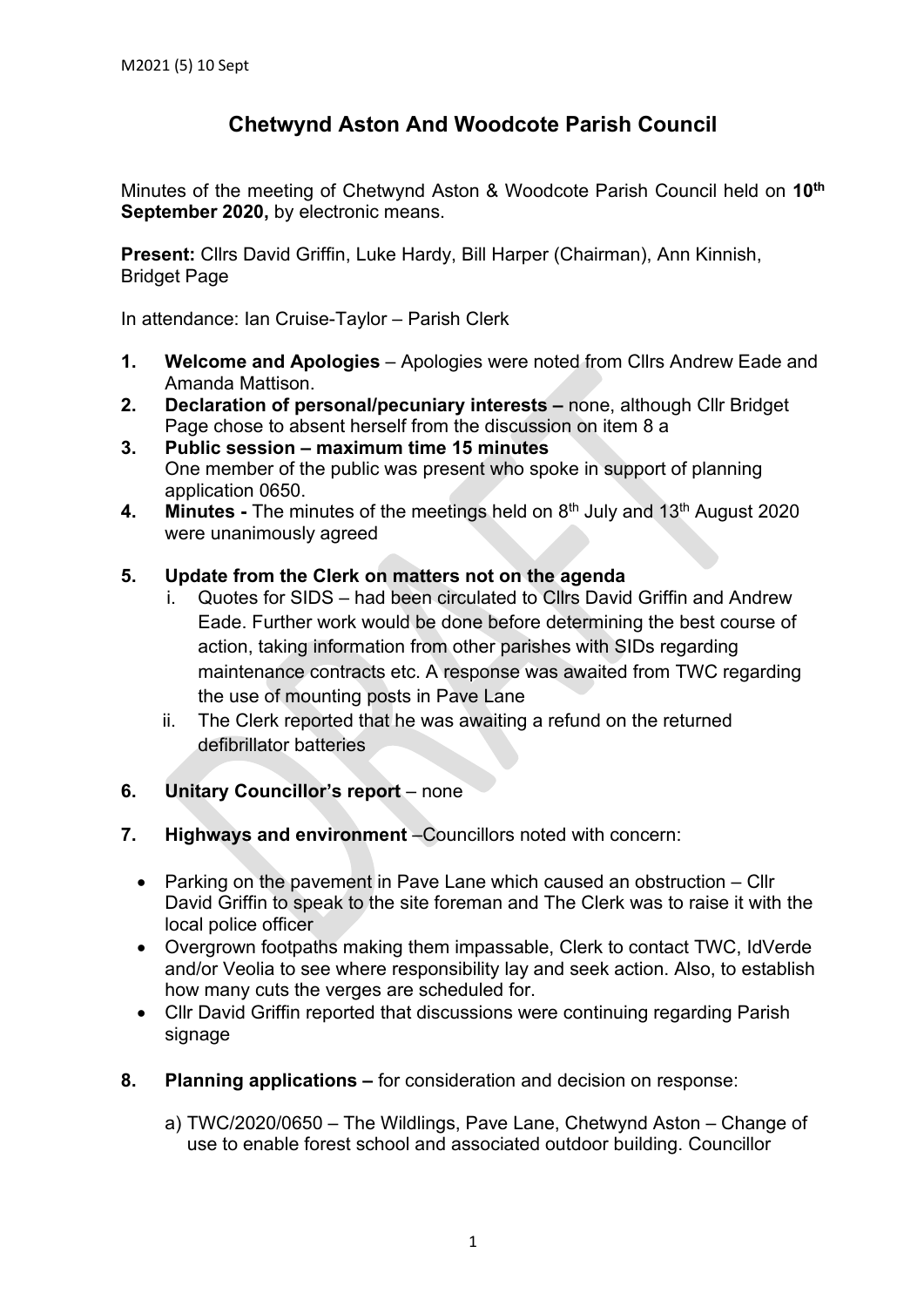## **Chetwynd Aston And Woodcote Parish Council**

Minutes of the meeting of Chetwynd Aston & Woodcote Parish Council held on **10th September 2020,** by electronic means.

**Present:** Cllrs David Griffin, Luke Hardy, Bill Harper (Chairman), Ann Kinnish, Bridget Page

In attendance: Ian Cruise-Taylor – Parish Clerk

- **1. Welcome and Apologies** Apologies were noted from Cllrs Andrew Eade and Amanda Mattison.
- **2. Declaration of personal/pecuniary interests –** none, although Cllr Bridget Page chose to absent herself from the discussion on item 8 a
- **3. Public session – maximum time 15 minutes** One member of the public was present who spoke in support of planning application 0650.
- **4. Minutes** The minutes of the meetings held on 8<sup>th</sup> July and 13<sup>th</sup> August 2020 were unanimously agreed

## **5. Update from the Clerk on matters not on the agenda**

- i. Quotes for SIDS had been circulated to Cllrs David Griffin and Andrew Eade. Further work would be done before determining the best course of action, taking information from other parishes with SIDs regarding maintenance contracts etc. A response was awaited from TWC regarding the use of mounting posts in Pave Lane
- ii. The Clerk reported that he was awaiting a refund on the returned defibrillator batteries
- **6. Unitary Councillor's report** none
- **7. Highways and environment** –Councillors noted with concern:
	- Parking on the pavement in Pave Lane which caused an obstruction Cllr David Griffin to speak to the site foreman and The Clerk was to raise it with the local police officer
	- Overgrown footpaths making them impassable, Clerk to contact TWC, IdVerde and/or Veolia to see where responsibility lay and seek action. Also, to establish how many cuts the verges are scheduled for.
	- Cllr David Griffin reported that discussions were continuing regarding Parish signage
- **8. Planning applications –** for consideration and decision on response:
	- a) TWC/2020/0650 The Wildlings, Pave Lane, Chetwynd Aston Change of use to enable forest school and associated outdoor building. Councillor